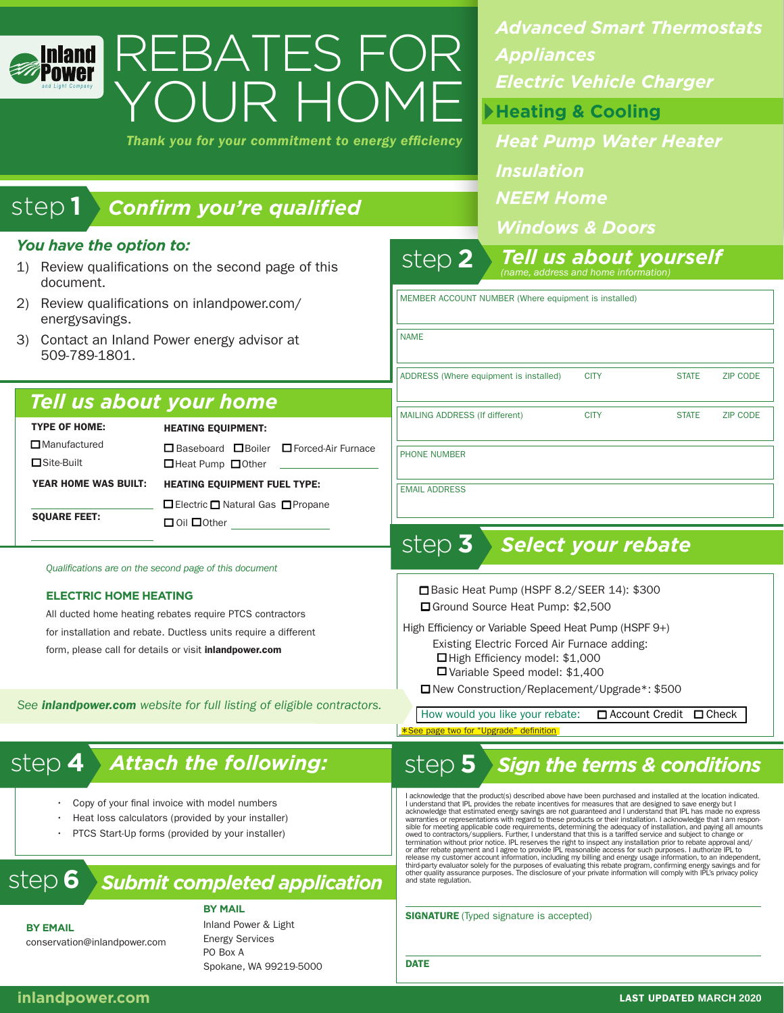| <b>nland</b><br>nd Light Company                                                                         | REBATES FOR                                                     |                                                                                                         | <b>Advanced Smart Thermostats</b><br><b>Appliances</b><br><b>Electric Vehicle Charger</b> |  |                         |
|----------------------------------------------------------------------------------------------------------|-----------------------------------------------------------------|---------------------------------------------------------------------------------------------------------|-------------------------------------------------------------------------------------------|--|-------------------------|
| YOUR HOME<br>Thank you for your commitment to energy efficiency                                          |                                                                 |                                                                                                         | Heating & Cooling                                                                         |  |                         |
|                                                                                                          |                                                                 |                                                                                                         | <b>Heat Pump Water Heater</b>                                                             |  |                         |
|                                                                                                          |                                                                 |                                                                                                         | <b>Insulation</b>                                                                         |  |                         |
|                                                                                                          |                                                                 |                                                                                                         | <b>NEEM Home</b>                                                                          |  |                         |
| step1<br><b>Confirm you're qualified</b>                                                                 |                                                                 |                                                                                                         | <b>Windows &amp; Doors</b>                                                                |  |                         |
| You have the option to:<br>Review qualifications on the second page of this<br>$\mathbf{1}$<br>document. |                                                                 | step $2$                                                                                                | <b>Tell us about yourself</b><br>(name, address and home information                      |  |                         |
| Review qualifications on inlandpower.com/<br>2)<br>energysavings.                                        |                                                                 | MEMBER ACCOUNT NUMBER (Where equipment is installed)                                                    |                                                                                           |  |                         |
| 3) Contact an Inland Power energy advisor at<br>509-789-1801.                                            |                                                                 | <b>NAME</b><br>ADDRESS (Where equipment is installed)<br><b>CITY</b><br><b>STATE</b><br><b>ZIP CODE</b> |                                                                                           |  |                         |
|                                                                                                          |                                                                 |                                                                                                         |                                                                                           |  | Tell us about your home |
| <b>TYPE OF HOME:</b><br><b>HEATING EQUIPMENT:</b>                                                        |                                                                 | MAILING ADDRESS (If different)                                                                          |                                                                                           |  |                         |
| $\Box$ Manufactured<br>□Site-Built                                                                       | □ Baseboard □ Boiler □ Forced-Air Furnace<br>□Heat Pump □ Other |                                                                                                         | <b>PHONE NUMBER</b>                                                                       |  |                         |
| <b>YEAR HOME WAS BUILT:</b><br><b>HEATING EQUIPMENT FUEL TYPE:</b>                                       |                                                                 | <b>EMAIL ADDRESS</b>                                                                                    |                                                                                           |  |                         |
| <b>SQUARE FEET:</b>                                                                                      | □ Electric □ Natural Gas □ Propane<br>$\Box$ Oil $\Box$ Other   |                                                                                                         |                                                                                           |  |                         |
| Qualifications are on the second page of this document                                                   |                                                                 | step $3$                                                                                                | <b>Select your rebate</b>                                                                 |  |                         |
| <b>ELECTRIC HOME HEATING</b>                                                                             |                                                                 | Basic Heat Pump (HSPF 8.2/SEER 14): \$300                                                               |                                                                                           |  |                         |
|                                                                                                          |                                                                 | □ Ground Source Heat Pump: \$2,500                                                                      |                                                                                           |  |                         |

All ducted home heating rebates require PTCS contractors for installation and rebate. Ductless units require a different form, please call for details or visit *inlandpower.com* 

*See inlandpower.com website for full listing of eligible contractors.* 

□ Ground Source Heat Pump: \$2,500 High Efficiency or Variable Speed Heat Pump (HSPF 9+)

 $\Box$  High Efficiency model: \$1,000 Existing Electric Forced Air Furnace adding:

 $\Box$  Variable Speed model: \$1,400

□ New Construction/Replacement/Upgrade\*: \$500

How would you like your rebate:  $\Box$  Account Credit  $\Box$  Check

\*See page two for

## step 4 > Attach the following: step 5

- Copy of your final invoice with model numbers
- Heat loss calculators (provided by your installer)
- PTCS Start-Up forms (provided by your installer)

# step **6** *Submit completed application*

**BY MAIL**

**BY EMAIL** conservation@inlandpower.com Inland Power & Light Energy Services PO Box A Spokane, WA 99219-5000

# *Attach the following: Sign the terms & conditions*

I acknowledge that the product(s) described above have been purchased and installed at the location indicated.<br>I understand that IPL provides the rebate incentives for measures that are designed to save energy but I acknow termination without prior notice. IPL reserves the right to inspect any installation prior to rebate approval and/<br>or after rebate payment and I agree to provide IPL reasonable access for such purposes. I authorize IPL to<br> third-party evaluator solely for the purposes of evaluating this rebate program, confirming energy savings and for<br>other quality assurance purposes. The disclosure of your private information will comply with IPL's privacy

SIGNATURE (Typed signature is accepted)

**DATE**